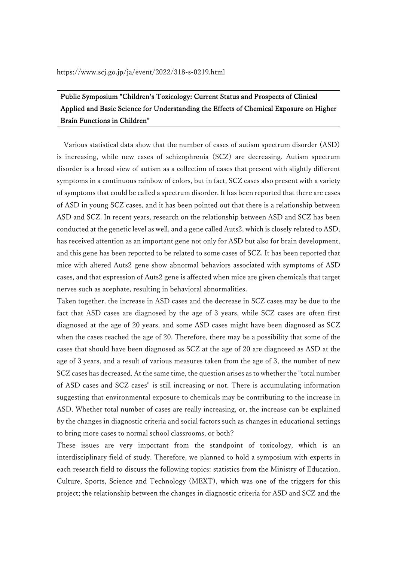# Public Symposium "Children's Toxicology: Current Status and Prospects of Clinical Applied and Basic Science for Understanding the Effects of Chemical Exposure on Higher Brain Functions in Children"

Various statistical data show that the number of cases of autism spectrum disorder (ASD) is increasing, while new cases of schizophrenia (SCZ) are decreasing. Autism spectrum disorder is a broad view of autism as a collection of cases that present with slightly different symptoms in a continuous rainbow of colors, but in fact, SCZ cases also present with a variety of symptoms that could be called a spectrum disorder. It has been reported that there are cases of ASD in young SCZ cases, and it has been pointed out that there is a relationship between ASD and SCZ. In recent years, research on the relationship between ASD and SCZ has been conducted at the genetic level as well, and a gene called Auts2, which is closely related to ASD, has received attention as an important gene not only for ASD but also for brain development, and this gene has been reported to be related to some cases of SCZ. It has been reported that mice with altered Auts2 gene show abnormal behaviors associated with symptoms of ASD cases, and that expression of Auts2 gene is affected when mice are given chemicals that target nerves such as acephate, resulting in behavioral abnormalities.

Taken together, the increase in ASD cases and the decrease in SCZ cases may be due to the fact that ASD cases are diagnosed by the age of 3 years, while SCZ cases are often first diagnosed at the age of 20 years, and some ASD cases might have been diagnosed as SCZ when the cases reached the age of 20. Therefore, there may be a possibility that some of the cases that should have been diagnosed as SCZ at the age of 20 are diagnosed as ASD at the age of 3 years, and a result of various measures taken from the age of 3, the number of new SCZ cases has decreased. At the same time, the question arises as to whether the "total number of ASD cases and SCZ cases" is still increasing or not. There is accumulating information suggesting that environmental exposure to chemicals may be contributing to the increase in ASD. Whether total number of cases are really increasing, or, the increase can be explained by the changes in diagnostic criteria and social factors such as changes in educational settings to bring more cases to normal school classrooms, or both?

These issues are very important from the standpoint of toxicology, which is an interdisciplinary field of study. Therefore, we planned to hold a symposium with experts in each research field to discuss the following topics: statistics from the Ministry of Education, Culture, Sports, Science and Technology (MEXT), which was one of the triggers for this project; the relationship between the changes in diagnostic criteria for ASD and SCZ and the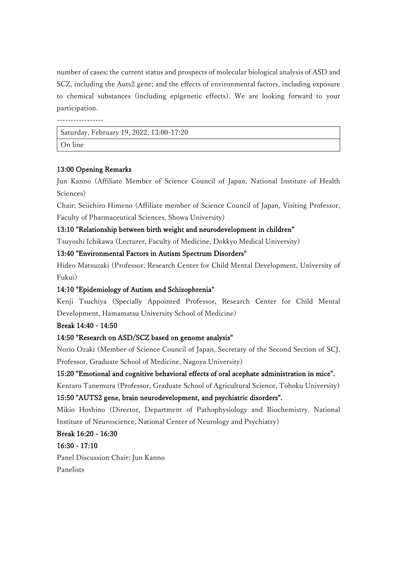number of cases; the current status and prospects of molecular biological analysis of ASD and SCZ, including the Auts2 gene; and the effects of environmental factors, including exposure to chemical substances (including epigenetic effects). We are looking forward to your participation.

-----------------

Saturday, February 19, 2022, 13:00-17:20 On line

#### 13:00 Opening Remarks

Jun Kanno (Affiliate Member of Science Council of Japan, National Institute of Health Sciences)

Chair: Seiichiro Himeno (Affiliate member of Science Council of Japan, Visiting Professor, Faculty of Pharmaceutical Sciences, Showa University)

#### 13:10 "Relationship between birth weight and neurodevelopment in children"

Tsuyoshi Ichikawa (Lecturer, Faculty of Medicine, Dokkyo Medical University)

#### 13:40 "Environmental Factors in Autism Spectrum Disorders"

Hideo Matsuzaki (Professor, Research Center for Child Mental Development, University of Fukui)

## 14:10 "Epidemiology of Autism and Schizophrenia"

Kenji Tsuchiya (Specially Appointed Professor, Research Center for Child Mental Development, Hamamatsu University School of Medicine)

#### Break 14:40 - 14:50

## 14:50 "Research on ASD/SCZ based on genome analysis"

Norio Ozaki (Member of Science Council of Japan, Secretary of the Second Section of SCJ, Professor, Graduate School of Medicine, Nagoya University)

#### 15:20 "Emotional and cognitive behavioral effects of oral acephate administration in mice".

Kentaro Tanemura (Professor, Graduate School of Agricultural Science, Tohoku University) 15:50 "AUTS2 gene, brain neurodevelopment, and psychiatric disorders".

Mikio Hoshino (Director, Department of Pathophysiology and Biochemistry, National Institute of Neuroscience, National Center of Neurology and Psychiatry)

## Break 16:20 - 16:30

## 16:30 - 17:10

Panel Discussion Chair: Jun Kanno Panelists